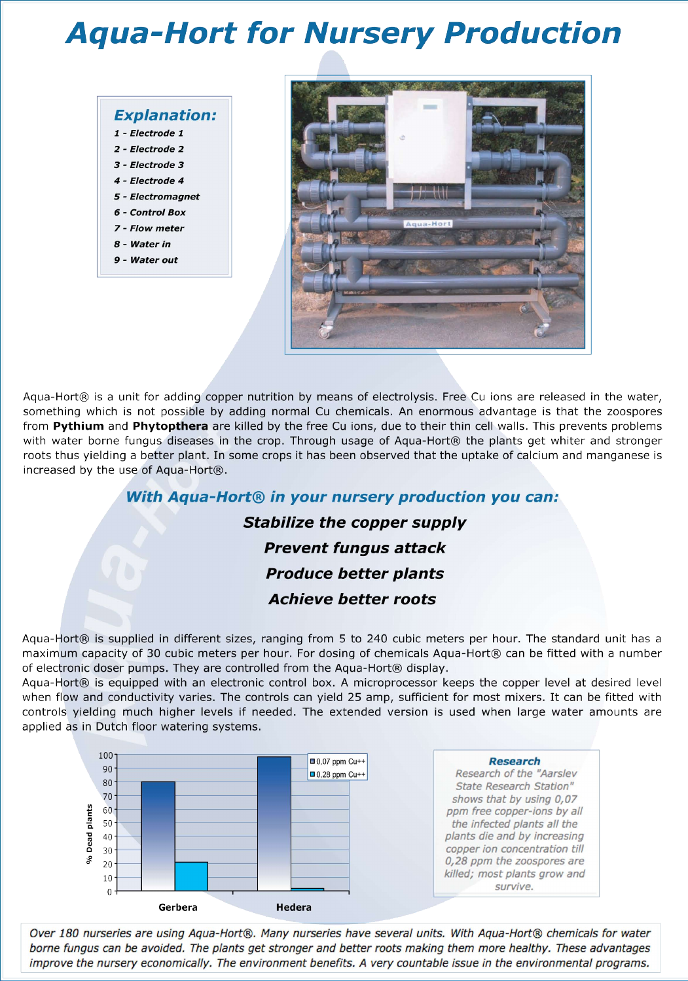# **Aqua-Hort for Nursery Production**

#### **Explanation:**

- 1 Electrode 1
- 2 Electrode 2
- 3 Electrode 3
- 4 Electrode 4
- 5 Electromagnet
- 6 Control Box
- 7 Flow meter
- 8 Water in
- 9 Water out



Aqua-Hort® is a unit for adding copper nutrition by means of electrolysis. Free Cu ions are released in the water, something which is not possible by adding normal Cu chemicals. An enormous advantage is that the zoospores from Pythium and Phytopthera are killed by the free Cu ions, due to their thin cell walls. This prevents problems with water borne fungus diseases in the crop. Through usage of Aqua-Hort® the plants get whiter and stronger roots thus yielding a better plant. In some crops it has been observed that the uptake of calcium and manganese is increased by the use of Aqua-Hort®.

### With Agua-Hort® in your nursery production you can:

### **Stabilize the copper supply Prevent fungus attack Produce better plants Achieve hetter roots**

Aqua-Hort® is supplied in different sizes, ranging from 5 to 240 cubic meters per hour. The standard unit has a maximum capacity of 30 cubic meters per hour. For dosing of chemicals Aqua-Hort® can be fitted with a number

of electronic doser pumps. They are controlled from the Aqua-Hort® display.

Agua-Hort® is equipped with an electronic control box. A microprocessor keeps the copper level at desired level when flow and conductivity varies. The controls can yield 25 amp, sufficient for most mixers. It can be fitted with controls yielding much higher levels if needed. The extended version is used when large water amounts are applied as in Dutch floor watering systems.



Over 180 nurseries are using Aqua-Hort®. Many nurseries have several units. With Aqua-Hort® chemicals for water borne fungus can be avoided. The plants get stronger and better roots making them more healthy. These advantages improve the nursery economically. The environment benefits. A very countable issue in the environmental programs.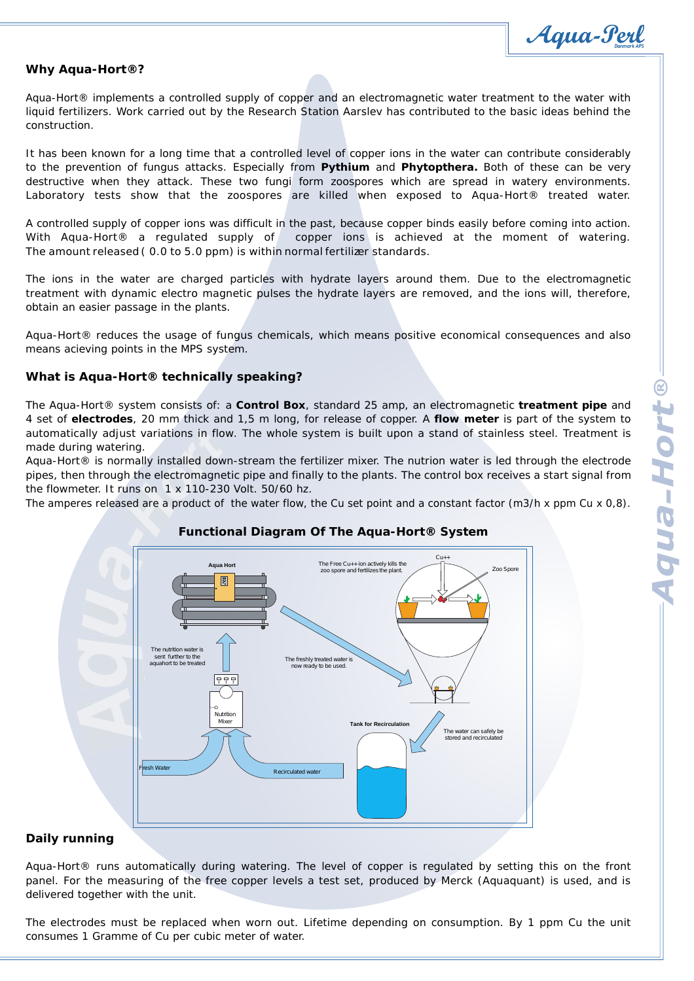*Danmark APS*

#### *Why Aqua-Hort®?*

Aqua-Hort® implements a controlled supply of copper and an electromagnetic water treatment to the water with liquid fertilizers. Work carried out by the Research Station Aarslev has contributed to the basic ideas behind the construction.

It has been known for a long time that a controlled level of copper ions in the water can contribute considerably to the prevention of fungus attacks. Especially from **Pythium** and **Phytopthera.** Both of these can be very destructive when they attack. These two fungi form zoospores which are spread in watery environments. Laboratory tests show that the zoospores are killed when exposed to Aqua-Hort® treated water.

A controlled supply of copper ions was difficult in the past, because copper binds easily before coming into action. With Aqua-Hort<sup>®</sup> a regulated supply of copper ions is achieved at the moment of watering. The amount released ( 0.0 to 5.0 ppm) is within normal fertilizer standards.

The ions in the water are charged particles with hydrate layers around them. Due to the electromagnetic treatment with dynamic electro magnetic pulses the hydrate layers are removed, and the ions will, therefore, obtain an easier passage in the plants.

Aqua-Hort® reduces the usage of fungus chemicals, which means positive economical consequences and also means acieving points in the MPS system.

#### *What is Aqua-Hort® technically speaking?*

The Aqua-Hort® system consists of: a **Control Box**, standard 25 amp, an electromagnetic **treatment pipe** and 4 set of **electrodes**, 20 mm thick and 1,5 m long, for release of copper. A **flow meter** is part of the system to automatically adjust variations in flow. The whole system is built upon a stand of stainless steel. Treatment is made during watering.

Aqua-Hort® is normally installed down-stream the fertilizer mixer. The nutrion water is led through the electrode pipes, then through the electromagnetic pipe and finally to the plants. The control box receives a start signal from the flowmeter. It runs on 1 x 110-230 Volt. 50/60 hz.

The amperes released are a product of the water flow, the Cu set point and a constant factor (m3/h x ppm Cu x 0,8).

#### *Functional Diagram Of The Aqua-Hort® System*

The Free Cu++ ion actively kills the zoo spore and fertilizes the plant.

Zoo Spore

Cu++

The nutrition water is<br>sent further to the aquahort to be treated aquahort to be treated<br>aquahort to be treated The freshly treated to be used. now measurement  $F$ Nutrition Mixer**Tank for Recirculation** The water can safely be s mator can card<br>Trad and recircul: Fresh Water Recirculated water

**Aqua Hort**

#### *Daily running*

Aqua-Hort® runs automatically during watering. The level of copper is regulated by setting this on the front panel. For the measuring of the free copper levels a test set, produced by Merck (Aquaquant) is used, and is delivered together with the unit.

The electrodes must be replaced when worn out. Lifetime depending on consumption. By 1 ppm Cu the unit consumes 1 Gramme of Cu per cubic meter of water.